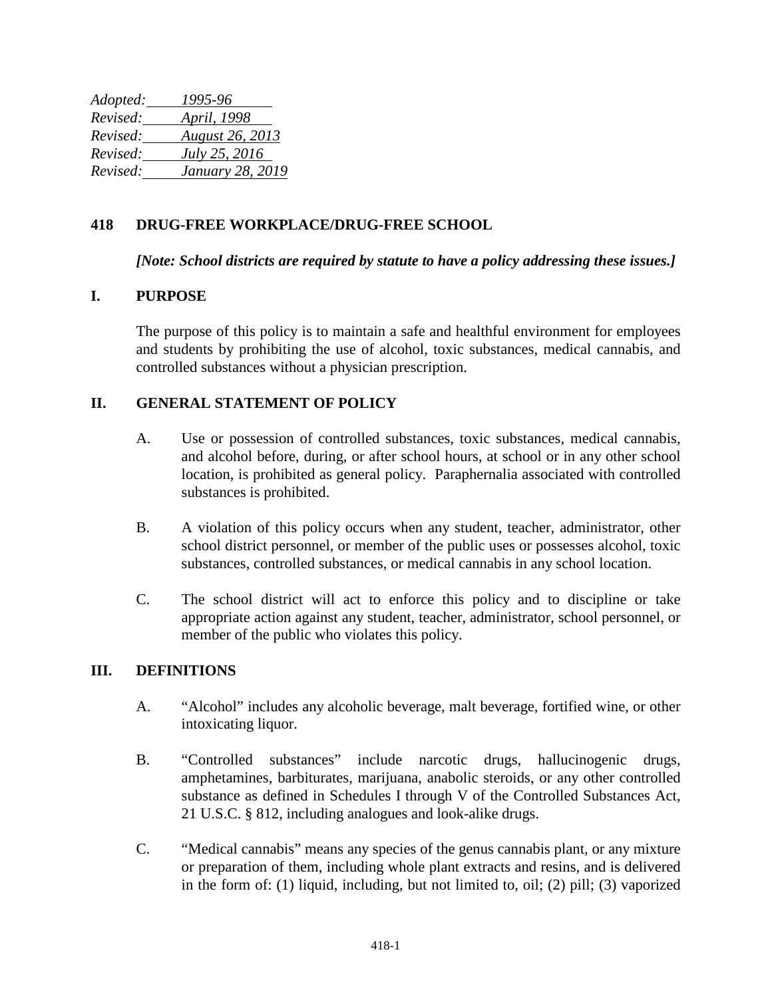| Adopted: | 1995-96                |
|----------|------------------------|
| Revised: | <i>April, 1998</i>     |
| Revised: | <b>August 26, 2013</b> |
| Revised: | July 25, 2016          |
| Revised: | January 28, 2019       |

## **418 DRUG-FREE WORKPLACE/DRUG-FREE SCHOOL**

*[Note: School districts are required by statute to have a policy addressing these issues.]*

### **I. PURPOSE**

The purpose of this policy is to maintain a safe and healthful environment for employees and students by prohibiting the use of alcohol, toxic substances, medical cannabis, and controlled substances without a physician prescription.

### **II. GENERAL STATEMENT OF POLICY**

- A. Use or possession of controlled substances, toxic substances, medical cannabis, and alcohol before, during, or after school hours, at school or in any other school location, is prohibited as general policy. Paraphernalia associated with controlled substances is prohibited.
- B. A violation of this policy occurs when any student, teacher, administrator, other school district personnel, or member of the public uses or possesses alcohol, toxic substances, controlled substances, or medical cannabis in any school location.
- C. The school district will act to enforce this policy and to discipline or take appropriate action against any student, teacher, administrator, school personnel, or member of the public who violates this policy.

#### **III. DEFINITIONS**

- A. "Alcohol" includes any alcoholic beverage, malt beverage, fortified wine, or other intoxicating liquor.
- B. "Controlled substances" include narcotic drugs, hallucinogenic drugs, amphetamines, barbiturates, marijuana, anabolic steroids, or any other controlled substance as defined in Schedules I through V of the Controlled Substances Act, 21 U.S.C. § 812, including analogues and look-alike drugs.
- C. "Medical cannabis" means any species of the genus cannabis plant, or any mixture or preparation of them, including whole plant extracts and resins, and is delivered in the form of: (1) liquid, including, but not limited to, oil; (2) pill; (3) vaporized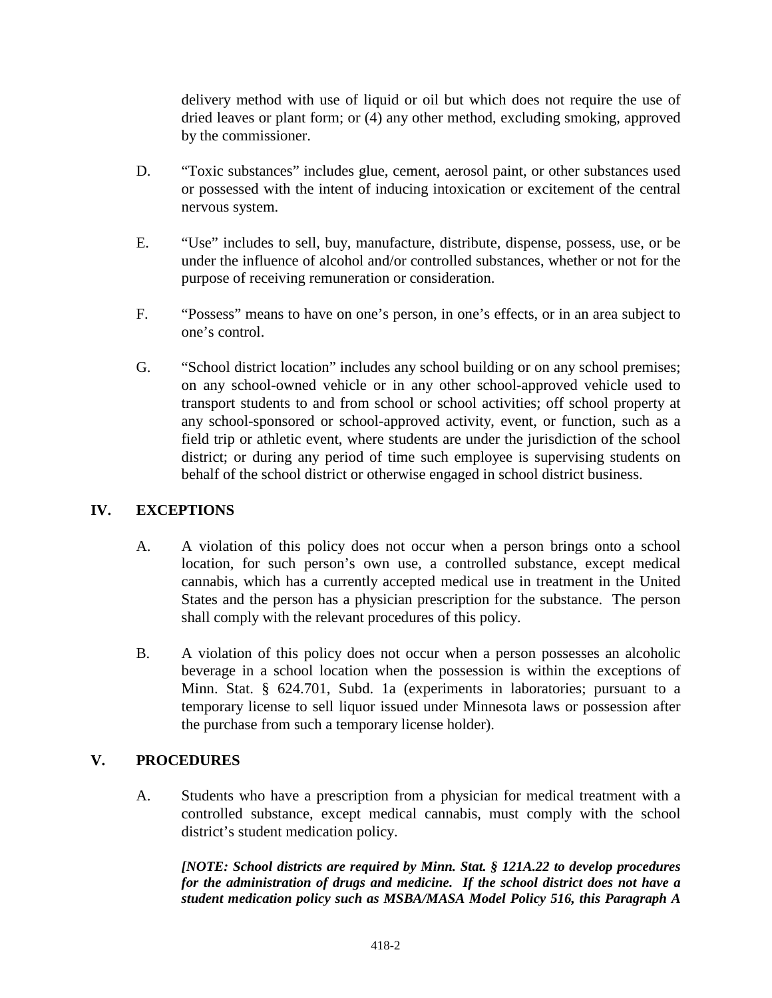delivery method with use of liquid or oil but which does not require the use of dried leaves or plant form; or (4) any other method, excluding smoking, approved by the commissioner.

- D. "Toxic substances" includes glue, cement, aerosol paint, or other substances used or possessed with the intent of inducing intoxication or excitement of the central nervous system.
- E. "Use" includes to sell, buy, manufacture, distribute, dispense, possess, use, or be under the influence of alcohol and/or controlled substances, whether or not for the purpose of receiving remuneration or consideration.
- F. "Possess" means to have on one's person, in one's effects, or in an area subject to one's control.
- G. "School district location" includes any school building or on any school premises; on any school-owned vehicle or in any other school-approved vehicle used to transport students to and from school or school activities; off school property at any school-sponsored or school-approved activity, event, or function, such as a field trip or athletic event, where students are under the jurisdiction of the school district; or during any period of time such employee is supervising students on behalf of the school district or otherwise engaged in school district business.

# **IV. EXCEPTIONS**

- A. A violation of this policy does not occur when a person brings onto a school location, for such person's own use, a controlled substance, except medical cannabis, which has a currently accepted medical use in treatment in the United States and the person has a physician prescription for the substance. The person shall comply with the relevant procedures of this policy.
- B. A violation of this policy does not occur when a person possesses an alcoholic beverage in a school location when the possession is within the exceptions of Minn. Stat. § 624.701, Subd. 1a (experiments in laboratories; pursuant to a temporary license to sell liquor issued under Minnesota laws or possession after the purchase from such a temporary license holder).

# **V. PROCEDURES**

A. Students who have a prescription from a physician for medical treatment with a controlled substance, except medical cannabis, must comply with the school district's student medication policy.

*[NOTE: School districts are required by Minn. Stat. § 121A.22 to develop procedures for the administration of drugs and medicine. If the school district does not have a student medication policy such as MSBA/MASA Model Policy 516, this Paragraph A*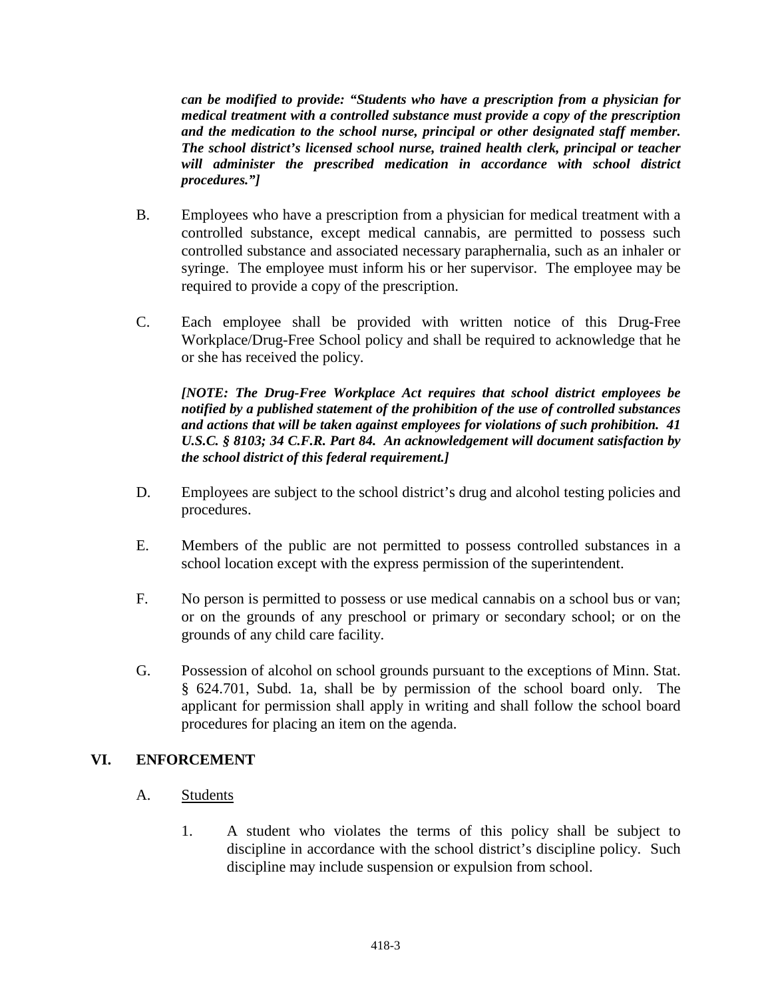*can be modified to provide: "Students who have a prescription from a physician for medical treatment with a controlled substance must provide a copy of the prescription and the medication to the school nurse, principal or other designated staff member. The school district's licensed school nurse, trained health clerk, principal or teacher will administer the prescribed medication in accordance with school district procedures."]*

- B. Employees who have a prescription from a physician for medical treatment with a controlled substance, except medical cannabis, are permitted to possess such controlled substance and associated necessary paraphernalia, such as an inhaler or syringe. The employee must inform his or her supervisor. The employee may be required to provide a copy of the prescription.
- C. Each employee shall be provided with written notice of this Drug-Free Workplace/Drug-Free School policy and shall be required to acknowledge that he or she has received the policy.

*[NOTE: The Drug-Free Workplace Act requires that school district employees be notified by a published statement of the prohibition of the use of controlled substances and actions that will be taken against employees for violations of such prohibition. 41 U.S.C. § 8103; 34 C.F.R. Part 84. An acknowledgement will document satisfaction by the school district of this federal requirement.]*

- D. Employees are subject to the school district's drug and alcohol testing policies and procedures.
- E. Members of the public are not permitted to possess controlled substances in a school location except with the express permission of the superintendent.
- F. No person is permitted to possess or use medical cannabis on a school bus or van; or on the grounds of any preschool or primary or secondary school; or on the grounds of any child care facility.
- G. Possession of alcohol on school grounds pursuant to the exceptions of Minn. Stat. § 624.701, Subd. 1a, shall be by permission of the school board only. The applicant for permission shall apply in writing and shall follow the school board procedures for placing an item on the agenda.

# **VI. ENFORCEMENT**

### A. Students

1. A student who violates the terms of this policy shall be subject to discipline in accordance with the school district's discipline policy. Such discipline may include suspension or expulsion from school.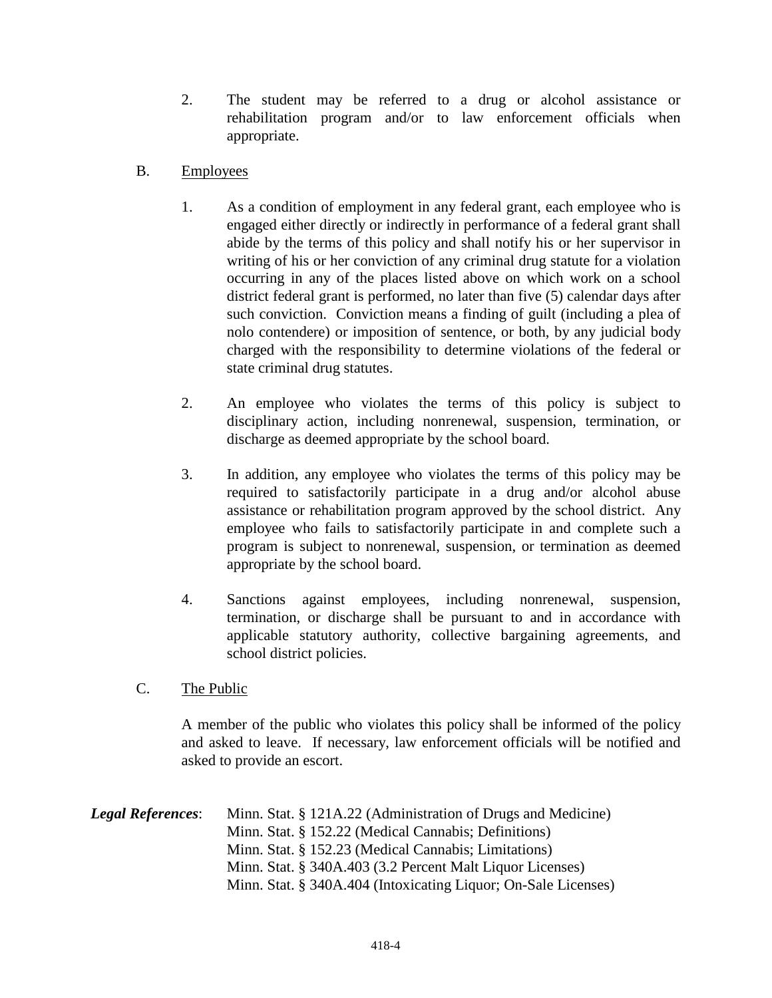- 2. The student may be referred to a drug or alcohol assistance or rehabilitation program and/or to law enforcement officials when appropriate.
- B. Employees
	- 1. As a condition of employment in any federal grant, each employee who is engaged either directly or indirectly in performance of a federal grant shall abide by the terms of this policy and shall notify his or her supervisor in writing of his or her conviction of any criminal drug statute for a violation occurring in any of the places listed above on which work on a school district federal grant is performed, no later than five (5) calendar days after such conviction. Conviction means a finding of guilt (including a plea of nolo contendere) or imposition of sentence, or both, by any judicial body charged with the responsibility to determine violations of the federal or state criminal drug statutes.
	- 2. An employee who violates the terms of this policy is subject to disciplinary action, including nonrenewal, suspension, termination, or discharge as deemed appropriate by the school board.
	- 3. In addition, any employee who violates the terms of this policy may be required to satisfactorily participate in a drug and/or alcohol abuse assistance or rehabilitation program approved by the school district. Any employee who fails to satisfactorily participate in and complete such a program is subject to nonrenewal, suspension, or termination as deemed appropriate by the school board.
	- 4. Sanctions against employees, including nonrenewal, suspension, termination, or discharge shall be pursuant to and in accordance with applicable statutory authority, collective bargaining agreements, and school district policies.
- C. The Public

A member of the public who violates this policy shall be informed of the policy and asked to leave. If necessary, law enforcement officials will be notified and asked to provide an escort.

*Legal References*: Minn. Stat. § 121A.22 (Administration of Drugs and Medicine) Minn. Stat. § 152.22 (Medical Cannabis; Definitions) Minn. Stat. § 152.23 (Medical Cannabis; Limitations) Minn. Stat. § 340A.403 (3.2 Percent Malt Liquor Licenses) Minn. Stat. § 340A.404 (Intoxicating Liquor; On-Sale Licenses)